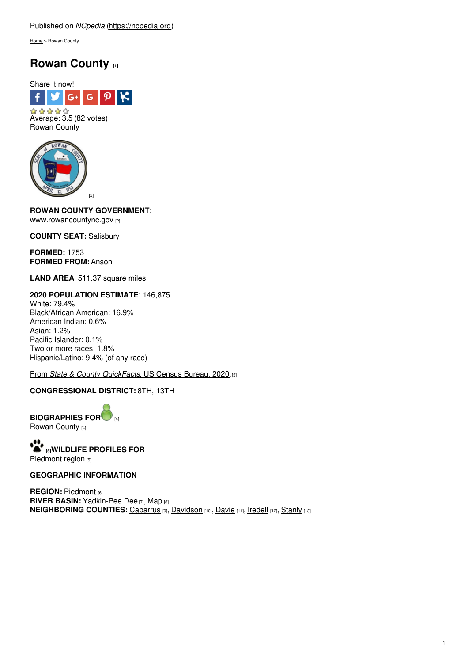[Home](https://ncpedia.org/) > Rowan County

# **Rowan [County](https://ncpedia.org/geography/rowan) [1]**



Rowan County



**ROWAN COUNTY GOVERNMEN[T:](http://www.social9.com)** [www.rowancountync.gov](https://www.rowancountync.gov/) [2]

**COUNTY SEAT:** Salisbury

**FORMED:** 1753 **FORMED FROM:** Anson

**LAND AREA**: 511.37 square miles

#### **2020 POPULATION ESTIMATE**: 146,875 White: 79.4% Black/African American: 16.9% American Indian: 0.6% Asian: 1.2% Pacific Islander: 0.1%

Two or more races: 1.8% Hispanic/Latino: 9.4% (of any race)

From *State & County [QuickFacts](https://www.census.gov/quickfacts/fact/table/rowancountynorthcarolina/POP010220)*, US Census Bureau, 2020.[3]

## **CONGRESSIONAL DISTRICT:** 8TH, 13TH

**BIOGRAPHIES FO[R](https://ncpedia.org/geography/rowan-county/biography)** [4] [Rowan](https://ncpedia.org/geography/rowan-county/biography) County [4]

**[5]WILDLIFE PROFILES FOR** [Piedmont](https://ncpedia.org/wildlife/piedmont) region [5]

## **GEOGRAPHIC INFORMATION**

**REGION: [Piedmont](https://ncpedia.org/geography/region/piedmont) [6] RIVER BASIN:** [Yadkin-Pee](https://files.nc.gov/deqee/documents/files/yadkin-river-basin.pdf) Dee [7], [Map](https://ncdenr.maps.arcgis.com/apps/PublicInformation/index.html?appid=f82f583438e74bf29adcc76247381eee) [8] **NEIGHBORING COUNTIES:** [Cabarrus](https://ncpedia.org/geography/cabarrus) [9], [Davidson](https://ncpedia.org/geography/davidson) [10], [Davie](https://ncpedia.org/geography/davie) [11], [Iredell](https://ncpedia.org/geography/iredell) [12], [Stanly](https://ncpedia.org/geography/stanly) [13]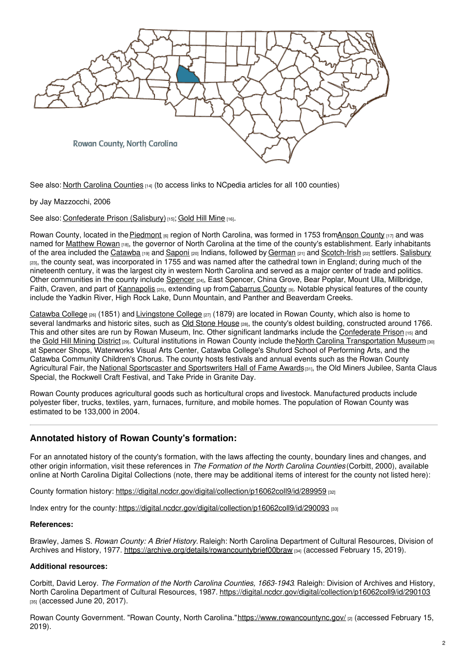

See also: North Carolina [Counties](https://www.ncpedia.org/geography/counties) [14] (to access links to NCpedia articles for all 100 counties)

by Jay Mazzocchi, 2006

See also: [Confederate](https://ncpedia.org/confederate-prison-salisbury) Prison (Salisbury)<sup>[15]</sup>; Gold Hill [Mine](https://ncpedia.org/gold-hill-mine) [16].

Rowan County, located in the [Piedmont](https://ncpedia.org/geography/region/piedmont)  $_{[6]}$  region of North Carolina, was formed in 1753 fromAnson [County](https://ncpedia.org/geography/anson)  $_{[17]}$  and was named for [Matthew](https://ncpedia.org/biography/rowan-matthew) Rowan [18], the governor of North Carolina at the time of the county's establishment. Early inhabitants of the area included the [Catawba](https://ncpedia.org/catawba-indians) [19] and [Saponi](https://ncpedia.org/saponi-indians) [20] Indians, followed by [German](https://ncpedia.org/german-settlers) [21] and [Scotch-Irish](https://ncpedia.org/scottish-settlers) [22] settlers. [Salisbury](https://salisburync.gov/) [23], the county seat, was incorporated in 1755 and was named after the cathedral town in England; during much of the nineteenth century, it was the largest city in western North Carolina and served as a major center of trade and politics. Other communities in the county include [Spencer](https://spencernc.gov/) [24], East Spencer, China Grove, Bear Poplar, Mount Ulla, Millbridge, Faith, Craven, and part of [Kannapolis](https://www.kannapolisnc.gov/)  $_{[25]}$ , extending up from [Cabarrus](https://ncpedia.org/geography/cabarrus) County  $_{[9]}$ . Notable physical features of the county include the Yadkin River, High Rock Lake, Dunn Mountain, and Panther and Beaverdam Creeks.

[Catawba](https://ncpedia.org/catawba-college) College [26] (1851) and [Livingstone](https://ncpedia.org/livingstone-college) College [27] (1879) are located in Rowan County, which also is home to several landmarks and historic sites, such as Old Stone [House](https://www.visitnc.com/listing/pLPK/old-stone-house) [28], the county's oldest building, constructed around 1766. This and other sites are run by Rowan Museum, Inc. Other significant landmarks include the [Confederate](https://ncpedia.org/confederate-prison-salisbury) Prison [15] and the Gold Hill [Mining](http://ncmarkers.com/Markers.aspx?MarkerId=L-81) District <sub>[29]</sub>. Cultural institutions in Rowan County include the North Carolina [Transportation](https://ncpedia.org/nc-transportation-museum) Museum [30] at Spencer Shops, Waterworks Visual Arts Center, Catawba College's Shuford School of Performing Arts, and the Catawba Community Children's Chorus. The county hosts festivals and annual events such as the Rowan County Agricultural Fair, the National Sportscaster and [Sportswriters](http://nssafame.com/awards/hall-of-fame/) Hall of Fame Awards[31], the Old Miners Jubilee, Santa Claus Special, the Rockwell Craft Festival, and Take Pride in Granite Day.

Rowan County produces agricultural goods such as horticultural crops and livestock. Manufactured products include polyester fiber, trucks, textiles, yarn, furnaces, furniture, and mobile homes. The population of Rowan County was estimated to be 133,000 in 2004.

## **Annotated history of Rowan County's formation:**

For an annotated history of the county's formation, with the laws affecting the county, boundary lines and changes, and other origin information, visit these references in *The Formation of the North Carolina Counties* (Corbitt, 2000), available online at North Carolina Digital Collections (note, there may be additional items of interest for the county not listed here):

County formation history: <https://digital.ncdcr.gov/digital/collection/p16062coll9/id/289959> [32]

Index entry for the county: <https://digital.ncdcr.gov/digital/collection/p16062coll9/id/290093> [33]

## **References:**

Brawley, James S. *Rowan County: A Brief History.* Raleigh: North Carolina Department of Cultural Resources, Division of Archives and History, 1977. <https://archive.org/details/rowancountybrief00braw> [34] (accessed February 15, 2019).

## **Additional resources:**

Corbitt, David Leroy. *The Formation of the North Carolina Counties, 1663-1943*. Raleigh: Division of Archives and History, North Carolina Department of Cultural Resources, 1987. <https://digital.ncdcr.gov/digital/collection/p16062coll9/id/290103> [35] (accessed June 20, 2017).

Rowan County Government. "Rowan County, North Carolina."<https://www.rowancountync.gov/> [2] (accessed February 15, 2019).